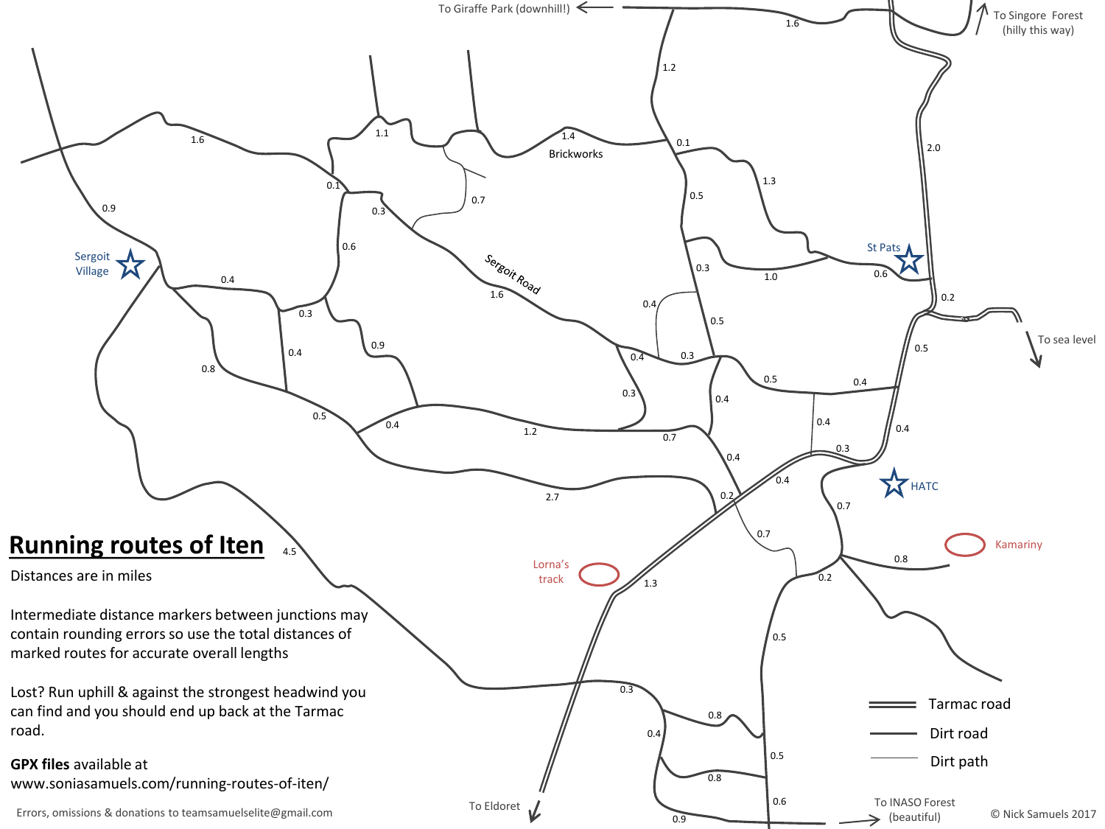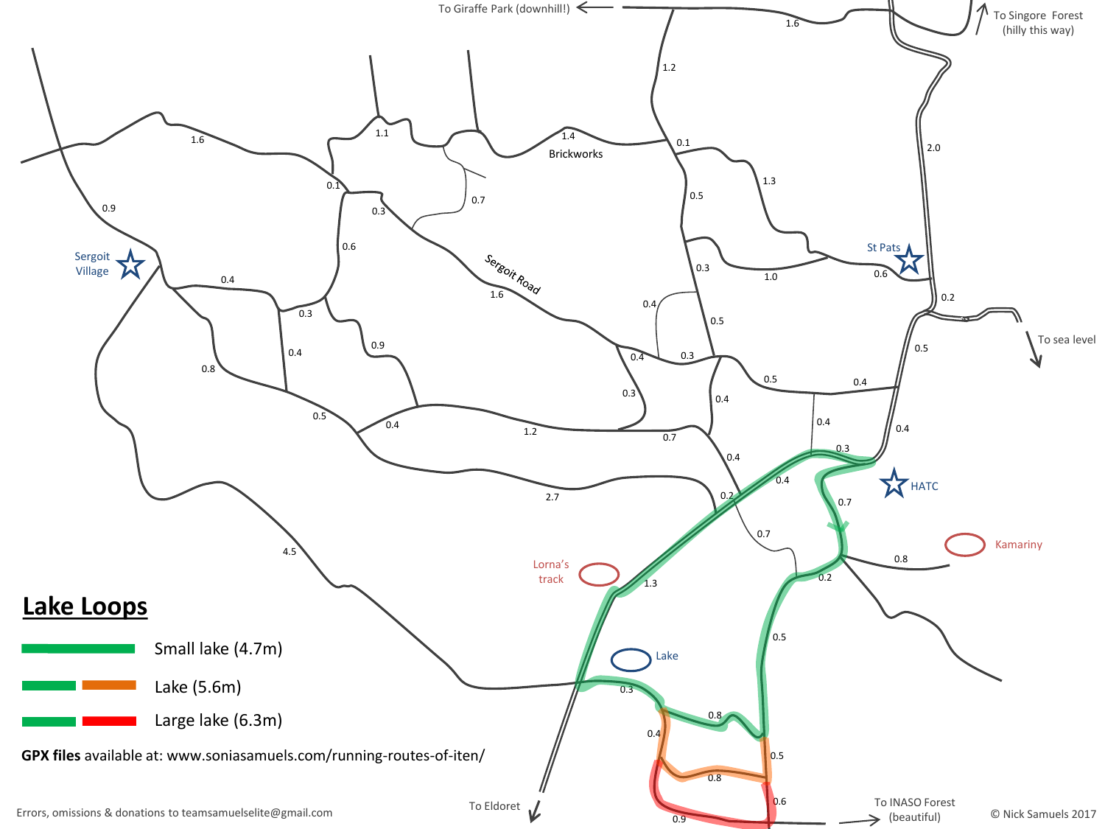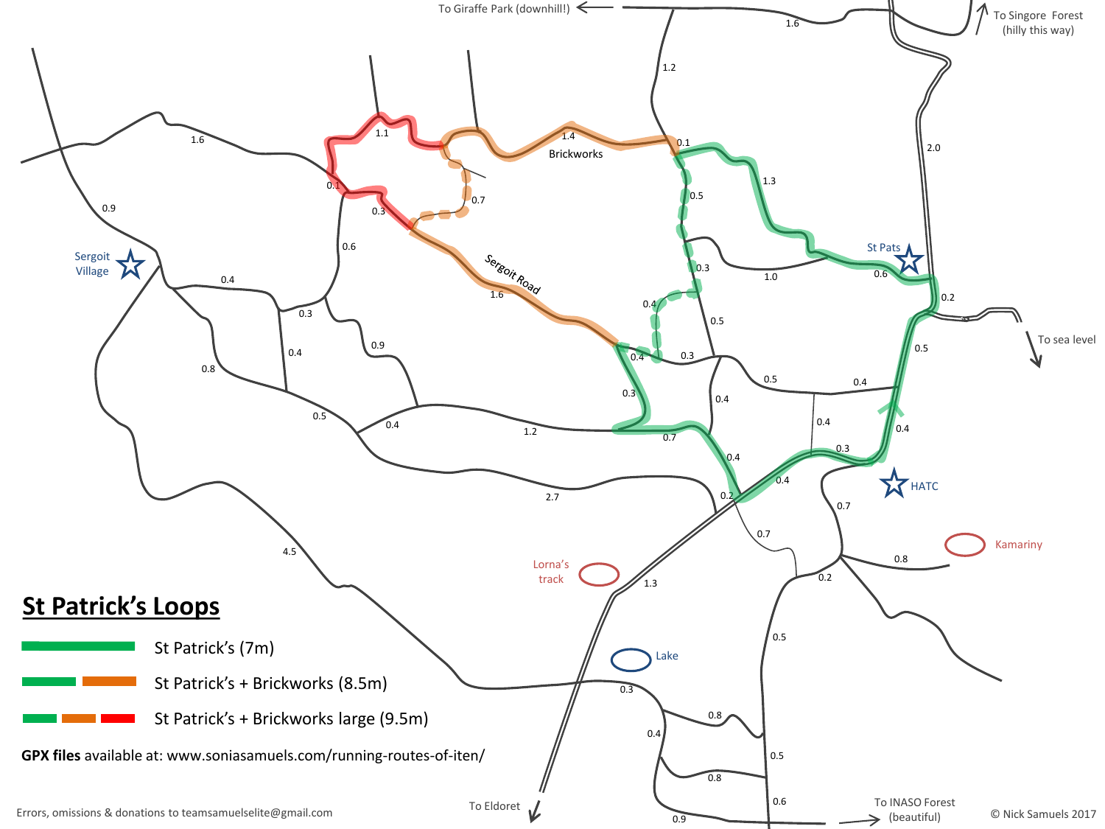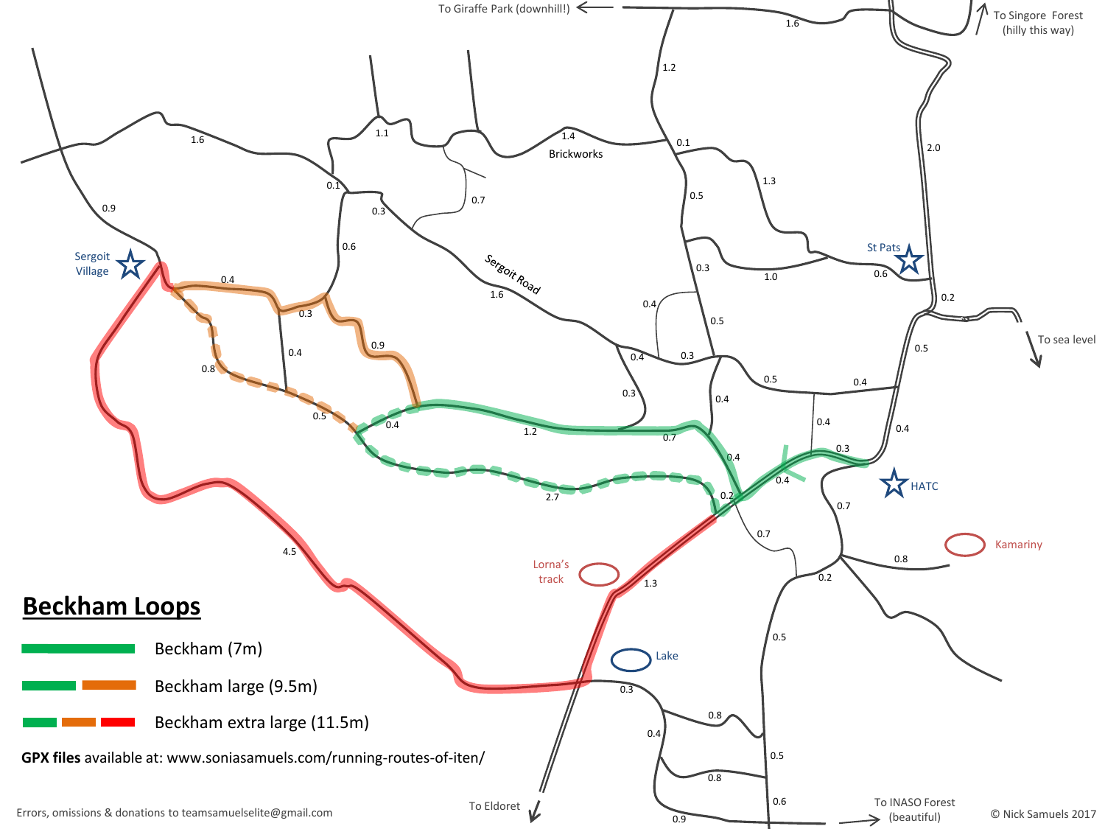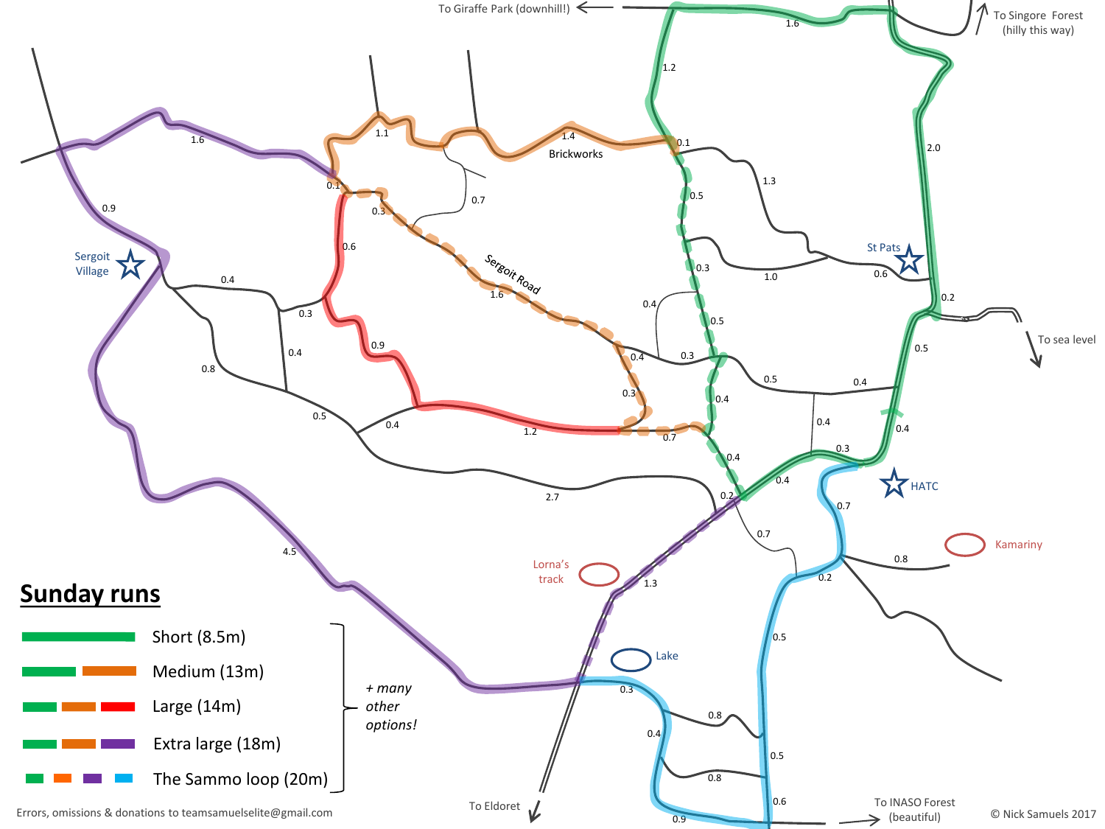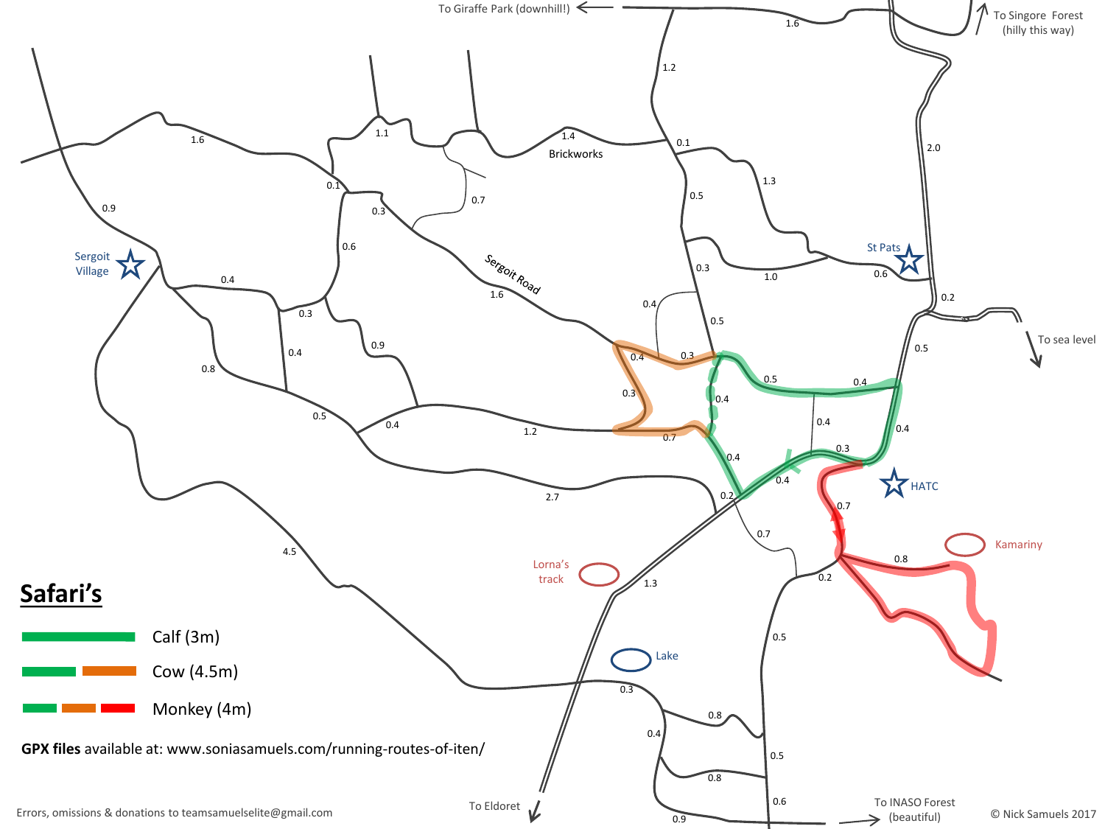